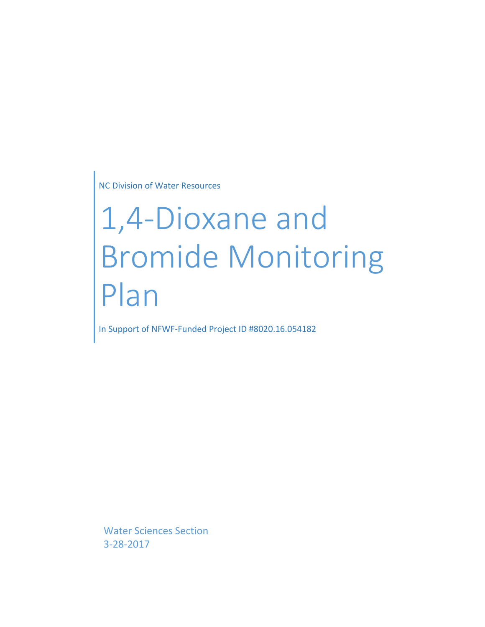NC Division of Water Resources

# 1,4-Dioxane and Bromide Monitoring Plan

In Support of NFWF-Funded Project ID #8020.16.054182

Water Sciences Section 3-28-2017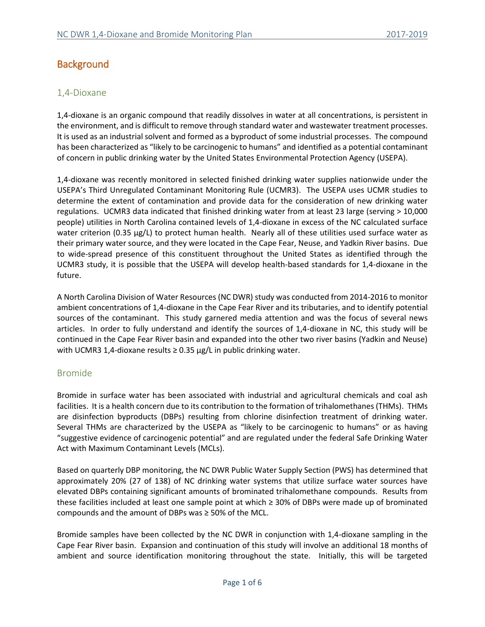# **Background**

#### 1,4-Dioxane

1,4-dioxane is an organic compound that readily dissolves in water at all concentrations, is persistent in the environment, and is difficult to remove through standard water and wastewater treatment processes. It is used as an industrial solvent and formed as a byproduct of some industrial processes. The compound has been characterized as "likely to be carcinogenic to humans" and identified as a potential contaminant of concern in public drinking water by the United States Environmental Protection Agency (USEPA).

1,4-dioxane was recently monitored in selected finished drinking water supplies nationwide under the USEPA's Third Unregulated Contaminant Monitoring Rule (UCMR3). The USEPA uses UCMR studies to determine the extent of contamination and provide data for the consideration of new drinking water regulations. UCMR3 data indicated that finished drinking water from at least 23 large (serving > 10,000 people) utilities in North Carolina contained levels of 1,4-dioxane in excess of the NC calculated surface water criterion (0.35 µg/L) to protect human health. Nearly all of these utilities used surface water as their primary water source, and they were located in the Cape Fear, Neuse, and Yadkin River basins. Due to wide-spread presence of this constituent throughout the United States as identified through the UCMR3 study, it is possible that the USEPA will develop health-based standards for 1,4-dioxane in the future.

A North Carolina Division of Water Resources (NC DWR) study was conducted from 2014-2016 to monitor ambient concentrations of 1,4-dioxane in the Cape Fear River and its tributaries, and to identify potential sources of the contaminant. This study garnered media attention and was the focus of several news articles. In order to fully understand and identify the sources of 1,4-dioxane in NC, this study will be continued in the Cape Fear River basin and expanded into the other two river basins (Yadkin and Neuse) with UCMR3 1,4-dioxane results  $\geq$  0.35  $\mu$ g/L in public drinking water.

#### Bromide

Bromide in surface water has been associated with industrial and agricultural chemicals and coal ash facilities. It is a health concern due to its contribution to the formation of trihalomethanes (THMs). THMs are disinfection byproducts (DBPs) resulting from chlorine disinfection treatment of drinking water. Several THMs are characterized by the USEPA as "likely to be carcinogenic to humans" or as having "suggestive evidence of carcinogenic potential" and are regulated under the federal Safe Drinking Water Act with Maximum Contaminant Levels (MCLs).

Based on quarterly DBP monitoring, the NC DWR Public Water Supply Section (PWS) has determined that approximately 20% (27 of 138) of NC drinking water systems that utilize surface water sources have elevated DBPs containing significant amounts of brominated trihalomethane compounds. Results from these facilities included at least one sample point at which ≥ 30% of DBPs were made up of brominated compounds and the amount of DBPs was ≥ 50% of the MCL.

Bromide samples have been collected by the NC DWR in conjunction with 1,4-dioxane sampling in the Cape Fear River basin. Expansion and continuation of this study will involve an additional 18 months of ambient and source identification monitoring throughout the state. Initially, this will be targeted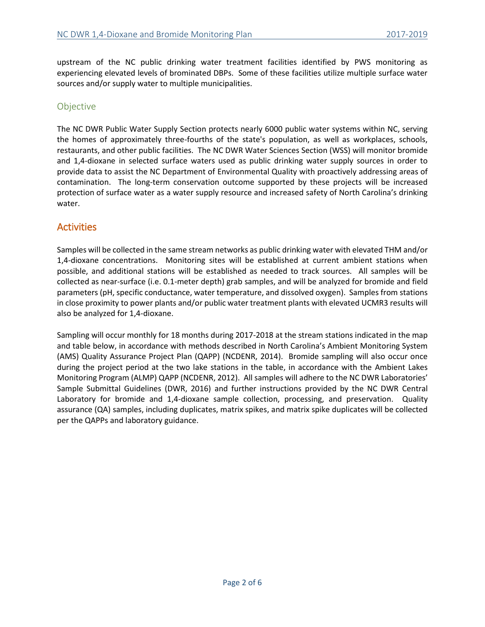upstream of the NC public drinking water treatment facilities identified by PWS monitoring as experiencing elevated levels of brominated DBPs. Some of these facilities utilize multiple surface water sources and/or supply water to multiple municipalities.

#### **Objective**

The NC DWR Public Water Supply Section protects nearly 6000 public water systems within NC, serving the homes of approximately three-fourths of the state's population, as well as workplaces, schools, restaurants, and other public facilities. The NC DWR Water Sciences Section (WSS) will monitor bromide and 1,4-dioxane in selected surface waters used as public drinking water supply sources in order to provide data to assist the NC Department of Environmental Quality with proactively addressing areas of contamination. The long-term conservation outcome supported by these projects will be increased protection of surface water as a water supply resource and increased safety of North Carolina's drinking water.

## **Activities**

Samples will be collected in the same stream networks as public drinking water with elevated THM and/or 1,4-dioxane concentrations. Monitoring sites will be established at current ambient stations when possible, and additional stations will be established as needed to track sources. All samples will be collected as near-surface (i.e. 0.1-meter depth) grab samples, and will be analyzed for bromide and field parameters (pH, specific conductance, water temperature, and dissolved oxygen). Samples from stations in close proximity to power plants and/or public water treatment plants with elevated UCMR3 results will also be analyzed for 1,4-dioxane.

Sampling will occur monthly for 18 months during 2017-2018 at the stream stations indicated in the map and table below, in accordance with methods described in North Carolina's Ambient Monitoring System (AMS) Quality Assurance Project Plan (QAPP) (NCDENR, 2014). Bromide sampling will also occur once during the project period at the two lake stations in the table, in accordance with the Ambient Lakes Monitoring Program (ALMP) QAPP (NCDENR, 2012). All samples will adhere to the NC DWR Laboratories' Sample Submittal Guidelines (DWR, 2016) and further instructions provided by the NC DWR Central Laboratory for bromide and 1,4-dioxane sample collection, processing, and preservation. Quality assurance (QA) samples, including duplicates, matrix spikes, and matrix spike duplicates will be collected per the QAPPs and laboratory guidance.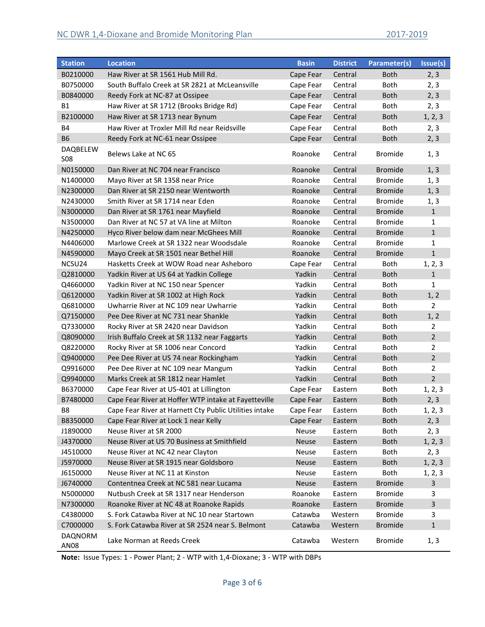| <b>Station</b>         | <b>Location</b>                                        | <b>Basin</b> | <b>District</b> | Parameter(s)   | Issue(s)       |
|------------------------|--------------------------------------------------------|--------------|-----------------|----------------|----------------|
| B0210000               | Haw River at SR 1561 Hub Mill Rd.                      | Cape Fear    | Central         | <b>Both</b>    | 2, 3           |
| B0750000               | South Buffalo Creek at SR 2821 at McLeansville         | Cape Fear    | Central         | Both           | 2, 3           |
| B0840000               | Reedy Fork at NC-87 at Ossipee                         | Cape Fear    | Central         | <b>Both</b>    | 2, 3           |
| <b>B1</b>              | Haw River at SR 1712 (Brooks Bridge Rd)                | Cape Fear    | Central         | Both           | 2, 3           |
| B2100000               | Haw River at SR 1713 near Bynum                        | Cape Fear    | Central         | <b>Both</b>    | 1, 2, 3        |
| <b>B4</b>              | Haw River at Troxler Mill Rd near Reidsville           | Cape Fear    | Central         | Both           | 2, 3           |
| <b>B6</b>              | Reedy Fork at NC-61 near Ossipee                       | Cape Fear    | Central         | <b>Both</b>    | 2, 3           |
| DAQBELEW<br><b>S08</b> | Belews Lake at NC 65                                   | Roanoke      | Central         | <b>Bromide</b> | 1, 3           |
| N0150000               | Dan River at NC 704 near Francisco                     | Roanoke      | Central         | <b>Bromide</b> | 1, 3           |
| N1400000               | Mayo River at SR 1358 near Price                       | Roanoke      | Central         | <b>Bromide</b> | 1, 3           |
| N2300000               | Dan River at SR 2150 near Wentworth                    | Roanoke      | Central         | <b>Bromide</b> | 1, 3           |
| N2430000               | Smith River at SR 1714 near Eden                       | Roanoke      | Central         | <b>Bromide</b> | 1, 3           |
| N3000000               | Dan River at SR 1761 near Mayfield                     | Roanoke      | Central         | <b>Bromide</b> | $\mathbf{1}$   |
| N3500000               | Dan River at NC 57 at VA line at Milton                | Roanoke      | Central         | Bromide        | $\mathbf{1}$   |
| N4250000               | Hyco River below dam near McGhees Mill                 | Roanoke      | Central         | <b>Bromide</b> | $\mathbf{1}$   |
| N4406000               | Marlowe Creek at SR 1322 near Woodsdale                | Roanoke      | Central         | <b>Bromide</b> | $\mathbf{1}$   |
| N4590000               | Mayo Creek at SR 1501 near Bethel Hill                 | Roanoke      | Central         | <b>Bromide</b> | $\mathbf{1}$   |
| NCSU24                 | Hasketts Creek at WOW Road near Asheboro               | Cape Fear    | Central         | <b>Both</b>    | 1, 2, 3        |
| Q2810000               | Yadkin River at US 64 at Yadkin College                | Yadkin       | Central         | <b>Both</b>    | $\mathbf{1}$   |
| Q4660000               | Yadkin River at NC 150 near Spencer                    | Yadkin       | Central         | Both           | $\mathbf{1}$   |
| Q6120000               | Yadkin River at SR 1002 at High Rock                   | Yadkin       | Central         | <b>Both</b>    | 1, 2           |
| Q6810000               | Uwharrie River at NC 109 near Uwharrie                 | Yadkin       | Central         | Both           | $\overline{2}$ |
| Q7150000               | Pee Dee River at NC 731 near Shankle                   | Yadkin       | Central         | <b>Both</b>    | 1, 2           |
| Q7330000               | Rocky River at SR 2420 near Davidson                   | Yadkin       | Central         | <b>Both</b>    | $\overline{2}$ |
| Q8090000               | Irish Buffalo Creek at SR 1132 near Faggarts           | Yadkin       | Central         | <b>Both</b>    | $\overline{2}$ |
| Q8220000               | Rocky River at SR 1006 near Concord                    | Yadkin       | Central         | <b>Both</b>    | $\overline{2}$ |
| Q9400000               | Pee Dee River at US 74 near Rockingham                 | Yadkin       | Central         | <b>Both</b>    | $\overline{2}$ |
| Q9916000               | Pee Dee River at NC 109 near Mangum                    | Yadkin       | Central         | <b>Both</b>    | $\overline{2}$ |
| Q9940000               | Marks Creek at SR 1812 near Hamlet                     | Yadkin       | Central         | <b>Both</b>    | $\overline{2}$ |
| B6370000               | Cape Fear River at US-401 at Lillington                | Cape Fear    | Eastern         | Both           | 1, 2, 3        |
| B7480000               | Cape Fear River at Hoffer WTP intake at Fayetteville   | Cape Fear    | Eastern         | <b>Both</b>    | 2, 3           |
| B8                     | Cape Fear River at Harnett Cty Public Utilities intake | Cape Fear    | Eastern         | <b>Both</b>    | 1, 2, 3        |
| B8350000               | Cape Fear River at Lock 1 near Kelly                   | Cape Fear    | Eastern         | <b>Both</b>    | 2, 3           |
| J1890000               | Neuse River at SR 2000                                 | Neuse        | Eastern         | Both           | 2, 3           |
| J4370000               | Neuse River at US 70 Business at Smithfield            | <b>Neuse</b> | Eastern         | <b>Both</b>    | 1, 2, 3        |
| J4510000               | Neuse River at NC 42 near Clayton                      | <b>Neuse</b> | Eastern         | Both           | 2, 3           |
| J5970000               | Neuse River at SR 1915 near Goldsboro                  | <b>Neuse</b> | Eastern         | <b>Both</b>    | 1, 2, 3        |
| J6150000               | Neuse River at NC 11 at Kinston                        | <b>Neuse</b> | Eastern         | Both           | 1, 2, 3        |
| J6740000               | Contentnea Creek at NC 581 near Lucama                 | <b>Neuse</b> | Eastern         | <b>Bromide</b> | 3              |
| N5000000               | Nutbush Creek at SR 1317 near Henderson                | Roanoke      | Eastern         | <b>Bromide</b> | 3              |
| N7300000               | Roanoke River at NC 48 at Roanoke Rapids               | Roanoke      | Eastern         | <b>Bromide</b> | 3              |
| C4380000               | S. Fork Catawba River at NC 10 near Startown           | Catawba      | Western         | <b>Bromide</b> | 3              |
| C7000000               | S. Fork Catawba River at SR 2524 near S. Belmont       | Catawba      | Western         | <b>Bromide</b> | $\mathbf{1}$   |
| <b>DAQNORM</b><br>AN08 | Lake Norman at Reeds Creek                             | Catawba      | Western         | <b>Bromide</b> | 1, 3           |

**Note:** Issue Types: 1 - Power Plant; 2 - WTP with 1,4-Dioxane; 3 - WTP with DBPs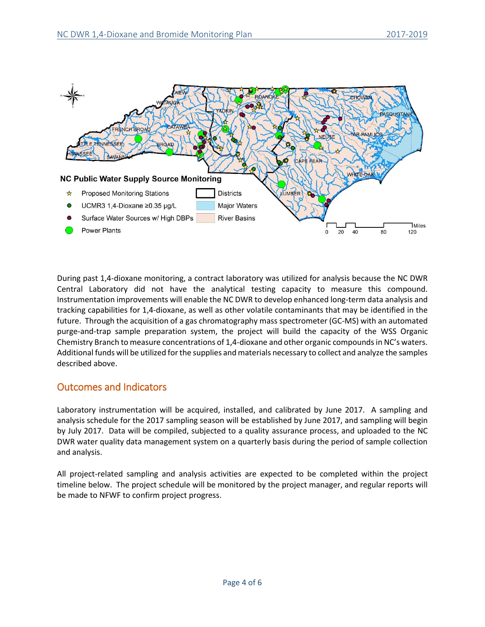

During past 1,4-dioxane monitoring, a contract laboratory was utilized for analysis because the NC DWR Central Laboratory did not have the analytical testing capacity to measure this compound. Instrumentation improvements will enable the NC DWR to develop enhanced long-term data analysis and tracking capabilities for 1,4-dioxane, as well as other volatile contaminants that may be identified in the future. Through the acquisition of a gas chromatography mass spectrometer (GC-MS) with an automated purge-and-trap sample preparation system, the project will build the capacity of the WSS Organic Chemistry Branch to measure concentrations of 1,4-dioxane and other organic compounds in NC's waters. Additional funds will be utilized for the supplies and materials necessary to collect and analyze the samples described above.

## Outcomes and Indicators

Laboratory instrumentation will be acquired, installed, and calibrated by June 2017. A sampling and analysis schedule for the 2017 sampling season will be established by June 2017, and sampling will begin by July 2017. Data will be compiled, subjected to a quality assurance process, and uploaded to the NC DWR water quality data management system on a quarterly basis during the period of sample collection and analysis.

All project-related sampling and analysis activities are expected to be completed within the project timeline below. The project schedule will be monitored by the project manager, and regular reports will be made to NFWF to confirm project progress.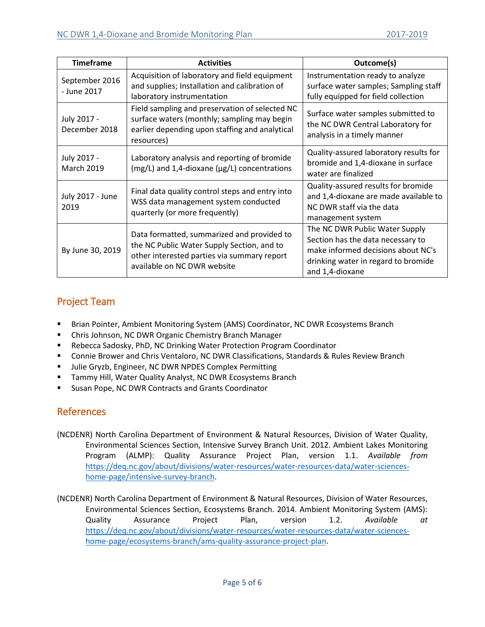| <b>Timeframe</b>                 | <b>Activities</b>                                                                                                                                                      | Outcome(s)                                                                                                                                                          |
|----------------------------------|------------------------------------------------------------------------------------------------------------------------------------------------------------------------|---------------------------------------------------------------------------------------------------------------------------------------------------------------------|
| September 2016<br>- June 2017    | Acquisition of laboratory and field equipment<br>and supplies; Installation and calibration of<br>laboratory instrumentation                                           | Instrumentation ready to analyze<br>surface water samples; Sampling staff<br>fully equipped for field collection                                                    |
| July 2017 -<br>December 2018     | Field sampling and preservation of selected NC<br>surface waters (monthly; sampling may begin<br>earlier depending upon staffing and analytical<br>resources)          | Surface water samples submitted to<br>the NC DWR Central Laboratory for<br>analysis in a timely manner                                                              |
| July 2017 -<br><b>March 2019</b> | Laboratory analysis and reporting of bromide<br>(mg/L) and 1,4-dioxane (µg/L) concentrations                                                                           | Quality-assured laboratory results for<br>bromide and 1,4-dioxane in surface<br>water are finalized                                                                 |
| July 2017 - June<br>2019         | Final data quality control steps and entry into<br>WSS data management system conducted<br>quarterly (or more frequently)                                              | Quality-assured results for bromide<br>and 1,4-dioxane are made available to<br>NC DWR staff via the data<br>management system                                      |
| By June 30, 2019                 | Data formatted, summarized and provided to<br>the NC Public Water Supply Section, and to<br>other interested parties via summary report<br>available on NC DWR website | The NC DWR Public Water Supply<br>Section has the data necessary to<br>make informed decisions about NC's<br>drinking water in regard to bromide<br>and 1,4-dioxane |

# Project Team

- Brian Pointer, Ambient Monitoring System (AMS) Coordinator, NC DWR Ecosystems Branch
- **E** Chris Johnson, NC DWR Organic Chemistry Branch Manager
- Rebecca Sadosky, PhD, NC Drinking Water Protection Program Coordinator
- **EXP** Connie Brower and Chris Ventaloro, NC DWR Classifications, Standards & Rules Review Branch
- **ULIE Gryzb, Engineer, NC DWR NPDES Complex Permitting**
- **Tammy Hill, Water Quality Analyst, NC DWR Ecosystems Branch**
- Susan Pope, NC DWR Contracts and Grants Coordinator

# References

(NCDENR) North Carolina Department of Environment & Natural Resources, Division of Water Quality, Environmental Sciences Section, Intensive Survey Branch Unit. 2012. Ambient Lakes Monitoring Program (ALMP): Quality Assurance Project Plan, version 1.1. *Available from* [https://deq.nc.gov/about/divisions/water-resources/water-resources-data/water-sciences](https://deq.nc.gov/about/divisions/water-resources/water-resources-data/water-sciences-home-page/intensive-survey-branch)[home-page/intensive-survey-branch.](https://deq.nc.gov/about/divisions/water-resources/water-resources-data/water-sciences-home-page/intensive-survey-branch)

(NCDENR) North Carolina Department of Environment & Natural Resources, Division of Water Resources, Environmental Sciences Section, Ecosystems Branch. 2014. Ambient Monitoring System (AMS): Quality Assurance Project Plan, version 1.2. *Available at* [https://deq.nc.gov/about/divisions/water-resources/water-resources-data/water-sciences](https://deq.nc.gov/about/divisions/water-resources/water-resources-data/water-sciences-home-page/ecosystems-branch/ams-quality-assurance-project-plan)[home-page/ecosystems-branch/ams-quality-assurance-project-plan.](https://deq.nc.gov/about/divisions/water-resources/water-resources-data/water-sciences-home-page/ecosystems-branch/ams-quality-assurance-project-plan)